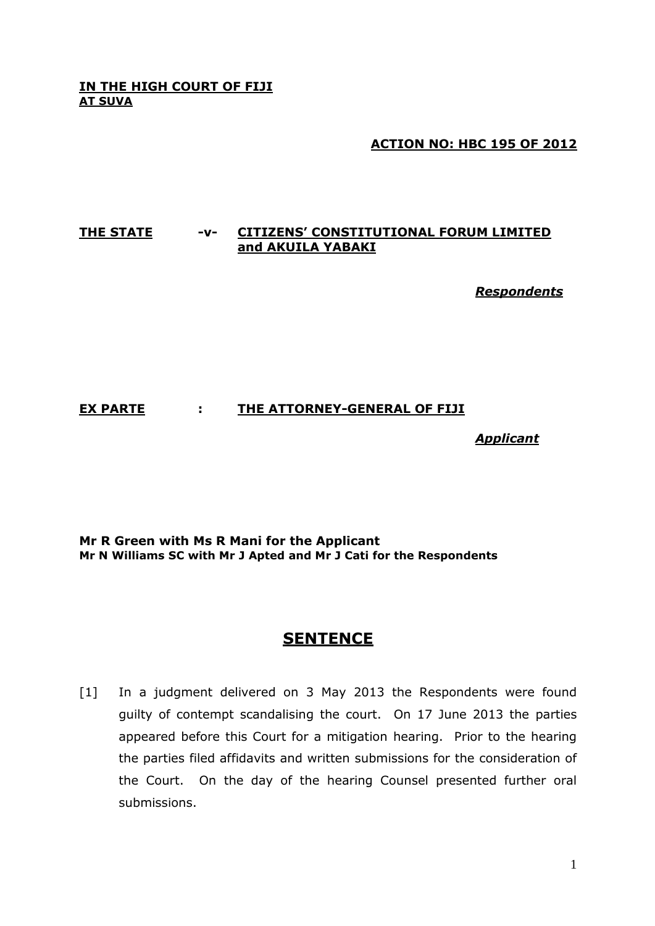#### **IN THE HIGH COURT OF FIJI AT SUVA**

## **ACTION NO: HBC 195 OF 2012**

### **THE STATE -v- CITIZENS' CONSTITUTIONAL FORUM LIMITED and AKUILA YABAKI**

*Respondents*

## **EX PARTE : THE ATTORNEY-GENERAL OF FIJI**

*Applicant*

**Mr R Green with Ms R Mani for the Applicant Mr N Williams SC with Mr J Apted and Mr J Cati for the Respondents**

# **SENTENCE**

[1] In a judgment delivered on 3 May 2013 the Respondents were found guilty of contempt scandalising the court. On 17 June 2013 the parties appeared before this Court for a mitigation hearing. Prior to the hearing the parties filed affidavits and written submissions for the consideration of the Court. On the day of the hearing Counsel presented further oral submissions.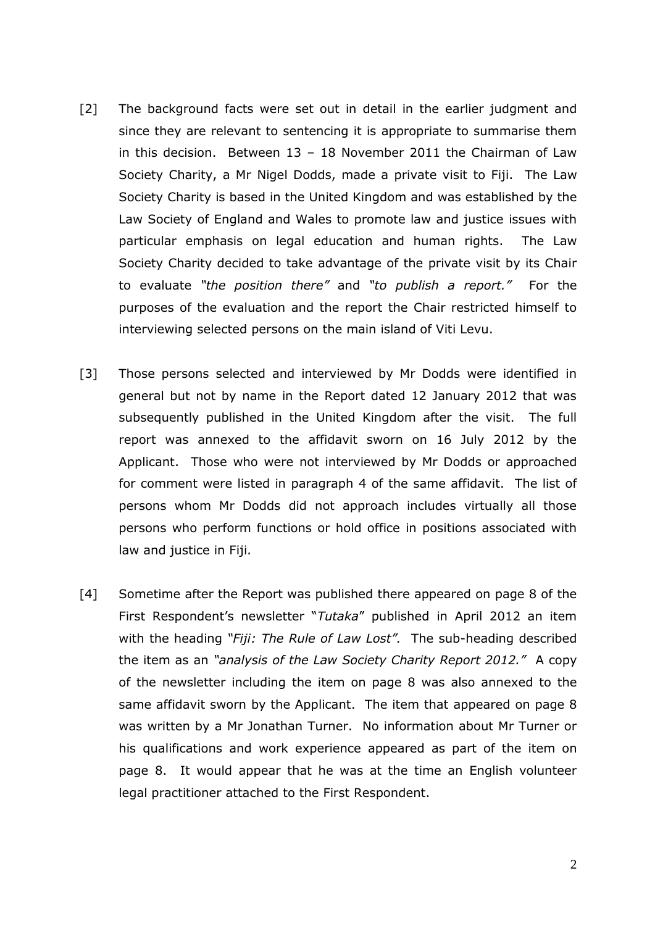- [2] The background facts were set out in detail in the earlier judgment and since they are relevant to sentencing it is appropriate to summarise them in this decision. Between  $13 - 18$  November 2011 the Chairman of Law Society Charity, a Mr Nigel Dodds, made a private visit to Fiji. The Law Society Charity is based in the United Kingdom and was established by the Law Society of England and Wales to promote law and justice issues with particular emphasis on legal education and human rights. The Law Society Charity decided to take advantage of the private visit by its Chair to evaluate *"the position there"* and *"to publish a report."* For the purposes of the evaluation and the report the Chair restricted himself to interviewing selected persons on the main island of Viti Levu.
- [3] Those persons selected and interviewed by Mr Dodds were identified in general but not by name in the Report dated 12 January 2012 that was subsequently published in the United Kingdom after the visit. The full report was annexed to the affidavit sworn on 16 July 2012 by the Applicant. Those who were not interviewed by Mr Dodds or approached for comment were listed in paragraph 4 of the same affidavit. The list of persons whom Mr Dodds did not approach includes virtually all those persons who perform functions or hold office in positions associated with law and justice in Fiji.
- [4] Sometime after the Report was published there appeared on page 8 of the First Respondent's newsletter "*Tutaka*" published in April 2012 an item with the heading *"Fiji: The Rule of Law Lost".* The sub-heading described the item as an *"analysis of the Law Society Charity Report 2012."* A copy of the newsletter including the item on page 8 was also annexed to the same affidavit sworn by the Applicant. The item that appeared on page 8 was written by a Mr Jonathan Turner. No information about Mr Turner or his qualifications and work experience appeared as part of the item on page 8. It would appear that he was at the time an English volunteer legal practitioner attached to the First Respondent.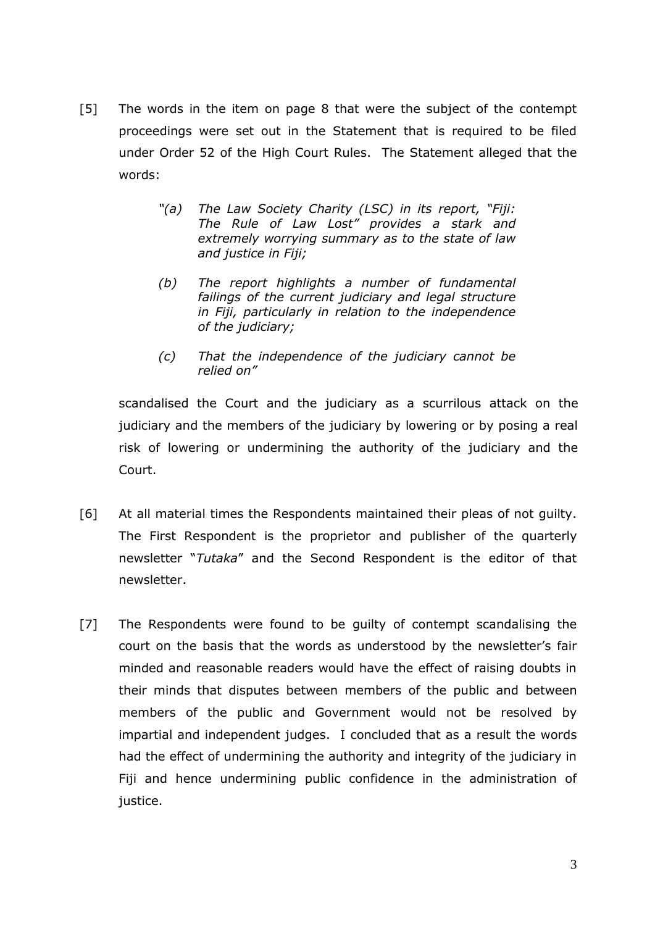- [5] The words in the item on page 8 that were the subject of the contempt proceedings were set out in the Statement that is required to be filed under Order 52 of the High Court Rules. The Statement alleged that the words:
	- *"(a) The Law Society Charity (LSC) in its report, "Fiji: The Rule of Law Lost" provides a stark and extremely worrying summary as to the state of law and justice in Fiji;*
	- *(b) The report highlights a number of fundamental failings of the current judiciary and legal structure in Fiji, particularly in relation to the independence of the judiciary;*
	- *(c) That the independence of the judiciary cannot be relied on"*

scandalised the Court and the judiciary as a scurrilous attack on the judiciary and the members of the judiciary by lowering or by posing a real risk of lowering or undermining the authority of the judiciary and the Court.

- [6] At all material times the Respondents maintained their pleas of not guilty. The First Respondent is the proprietor and publisher of the quarterly newsletter "*Tutaka*" and the Second Respondent is the editor of that newsletter.
- [7] The Respondents were found to be quilty of contempt scandalising the court on the basis that the words as understood by the newsletter's fair minded and reasonable readers would have the effect of raising doubts in their minds that disputes between members of the public and between members of the public and Government would not be resolved by impartial and independent judges. I concluded that as a result the words had the effect of undermining the authority and integrity of the judiciary in Fiji and hence undermining public confidence in the administration of justice.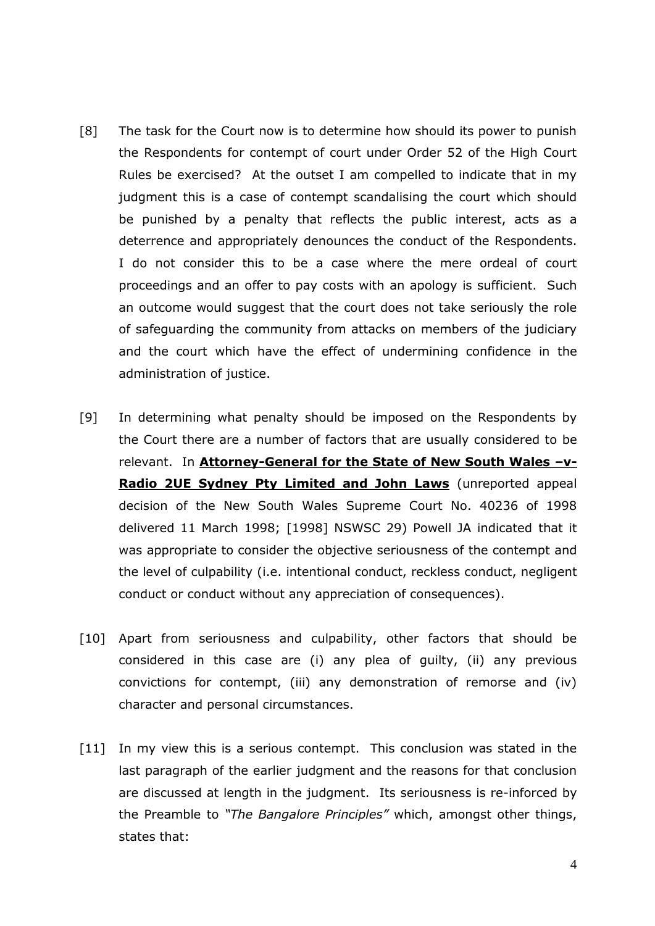- [8] The task for the Court now is to determine how should its power to punish the Respondents for contempt of court under Order 52 of the High Court Rules be exercised? At the outset I am compelled to indicate that in my judgment this is a case of contempt scandalising the court which should be punished by a penalty that reflects the public interest, acts as a deterrence and appropriately denounces the conduct of the Respondents. I do not consider this to be a case where the mere ordeal of court proceedings and an offer to pay costs with an apology is sufficient. Such an outcome would suggest that the court does not take seriously the role of safeguarding the community from attacks on members of the judiciary and the court which have the effect of undermining confidence in the administration of justice.
- [9] In determining what penalty should be imposed on the Respondents by the Court there are a number of factors that are usually considered to be relevant. In **Attorney-General for the State of New South Wales –v-Radio 2UE Sydney Pty Limited and John Laws** (unreported appeal decision of the New South Wales Supreme Court No. 40236 of 1998 delivered 11 March 1998; [1998] NSWSC 29) Powell JA indicated that it was appropriate to consider the objective seriousness of the contempt and the level of culpability (i.e. intentional conduct, reckless conduct, negligent conduct or conduct without any appreciation of consequences).
- [10] Apart from seriousness and culpability, other factors that should be considered in this case are (i) any plea of guilty, (ii) any previous convictions for contempt, (iii) any demonstration of remorse and (iv) character and personal circumstances.
- [11] In my view this is a serious contempt. This conclusion was stated in the last paragraph of the earlier judgment and the reasons for that conclusion are discussed at length in the judgment. Its seriousness is re-inforced by the Preamble to *"The Bangalore Principles"* which, amongst other things, states that: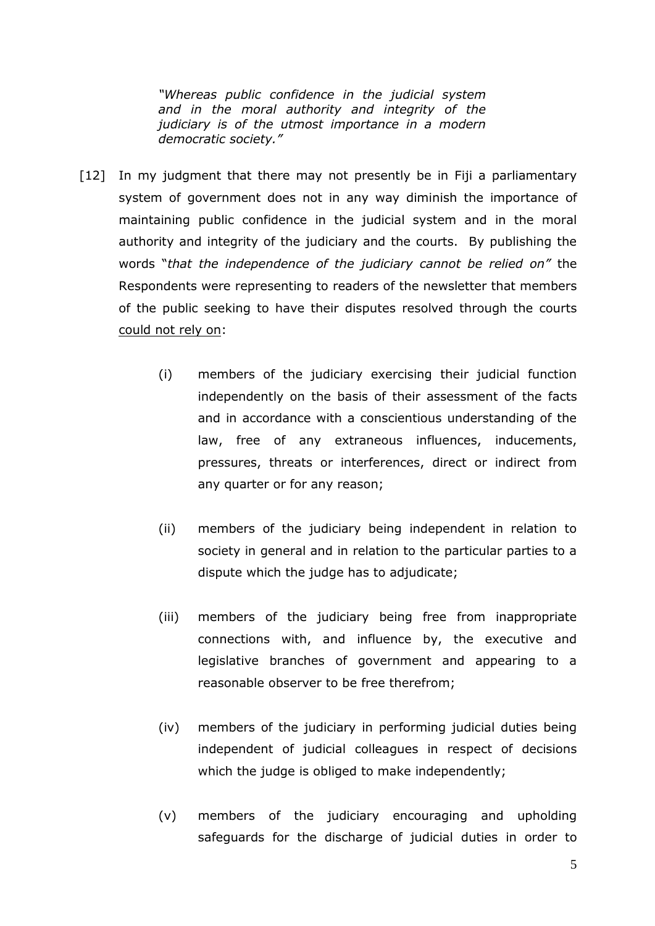*"Whereas public confidence in the judicial system and in the moral authority and integrity of the judiciary is of the utmost importance in a modern democratic society."*

- [12] In my judgment that there may not presently be in Fiji a parliamentary system of government does not in any way diminish the importance of maintaining public confidence in the judicial system and in the moral authority and integrity of the judiciary and the courts. By publishing the words "*that the independence of the judiciary cannot be relied on"* the Respondents were representing to readers of the newsletter that members of the public seeking to have their disputes resolved through the courts could not rely on:
	- (i) members of the judiciary exercising their judicial function independently on the basis of their assessment of the facts and in accordance with a conscientious understanding of the law, free of any extraneous influences, inducements, pressures, threats or interferences, direct or indirect from any quarter or for any reason;
	- (ii) members of the judiciary being independent in relation to society in general and in relation to the particular parties to a dispute which the judge has to adjudicate;
	- (iii) members of the judiciary being free from inappropriate connections with, and influence by, the executive and legislative branches of government and appearing to a reasonable observer to be free therefrom;
	- (iv) members of the judiciary in performing judicial duties being independent of judicial colleagues in respect of decisions which the judge is obliged to make independently;
	- (v) members of the judiciary encouraging and upholding safeguards for the discharge of judicial duties in order to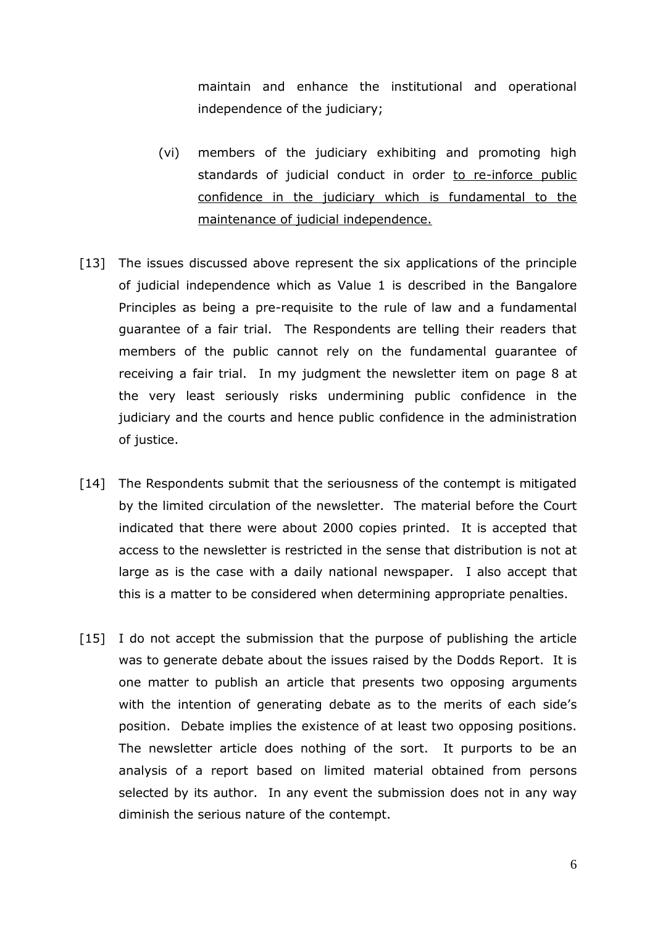maintain and enhance the institutional and operational independence of the judiciary;

- (vi) members of the judiciary exhibiting and promoting high standards of judicial conduct in order to re-inforce public confidence in the judiciary which is fundamental to the maintenance of judicial independence.
- [13] The issues discussed above represent the six applications of the principle of judicial independence which as Value 1 is described in the Bangalore Principles as being a pre-requisite to the rule of law and a fundamental guarantee of a fair trial. The Respondents are telling their readers that members of the public cannot rely on the fundamental guarantee of receiving a fair trial. In my judgment the newsletter item on page 8 at the very least seriously risks undermining public confidence in the judiciary and the courts and hence public confidence in the administration of justice.
- [14] The Respondents submit that the seriousness of the contempt is mitigated by the limited circulation of the newsletter. The material before the Court indicated that there were about 2000 copies printed. It is accepted that access to the newsletter is restricted in the sense that distribution is not at large as is the case with a daily national newspaper. I also accept that this is a matter to be considered when determining appropriate penalties.
- [15] I do not accept the submission that the purpose of publishing the article was to generate debate about the issues raised by the Dodds Report. It is one matter to publish an article that presents two opposing arguments with the intention of generating debate as to the merits of each side's position. Debate implies the existence of at least two opposing positions. The newsletter article does nothing of the sort. It purports to be an analysis of a report based on limited material obtained from persons selected by its author. In any event the submission does not in any way diminish the serious nature of the contempt.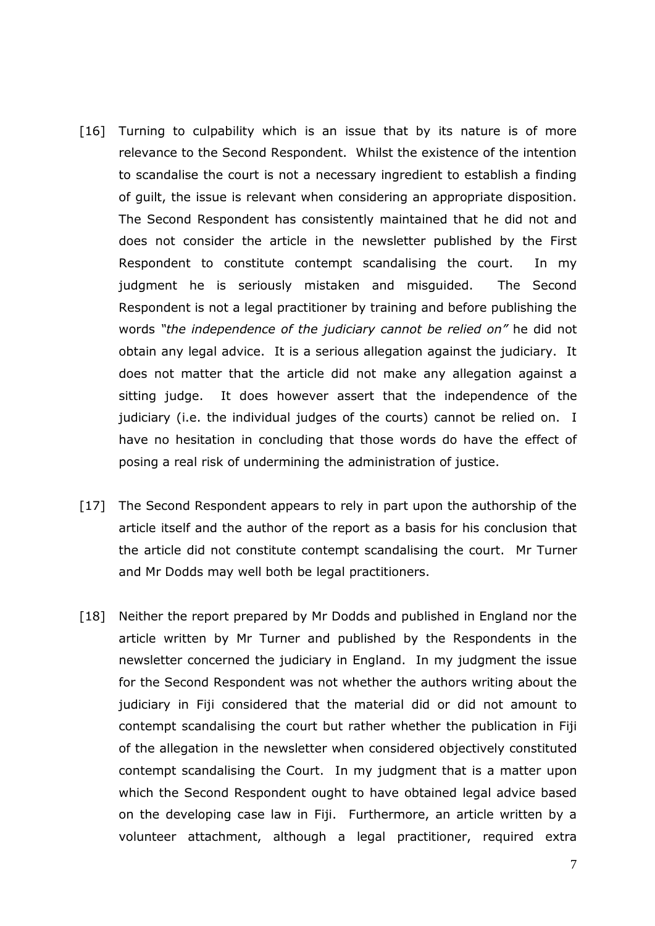- [16] Turning to culpability which is an issue that by its nature is of more relevance to the Second Respondent. Whilst the existence of the intention to scandalise the court is not a necessary ingredient to establish a finding of guilt, the issue is relevant when considering an appropriate disposition. The Second Respondent has consistently maintained that he did not and does not consider the article in the newsletter published by the First Respondent to constitute contempt scandalising the court. In my judgment he is seriously mistaken and misguided. The Second Respondent is not a legal practitioner by training and before publishing the words *"the independence of the judiciary cannot be relied on"* he did not obtain any legal advice. It is a serious allegation against the judiciary. It does not matter that the article did not make any allegation against a sitting judge. It does however assert that the independence of the judiciary (i.e. the individual judges of the courts) cannot be relied on. I have no hesitation in concluding that those words do have the effect of posing a real risk of undermining the administration of justice.
- [17] The Second Respondent appears to rely in part upon the authorship of the article itself and the author of the report as a basis for his conclusion that the article did not constitute contempt scandalising the court. Mr Turner and Mr Dodds may well both be legal practitioners.
- [18] Neither the report prepared by Mr Dodds and published in England nor the article written by Mr Turner and published by the Respondents in the newsletter concerned the judiciary in England. In my judgment the issue for the Second Respondent was not whether the authors writing about the judiciary in Fiji considered that the material did or did not amount to contempt scandalising the court but rather whether the publication in Fiji of the allegation in the newsletter when considered objectively constituted contempt scandalising the Court. In my judgment that is a matter upon which the Second Respondent ought to have obtained legal advice based on the developing case law in Fiji. Furthermore, an article written by a volunteer attachment, although a legal practitioner, required extra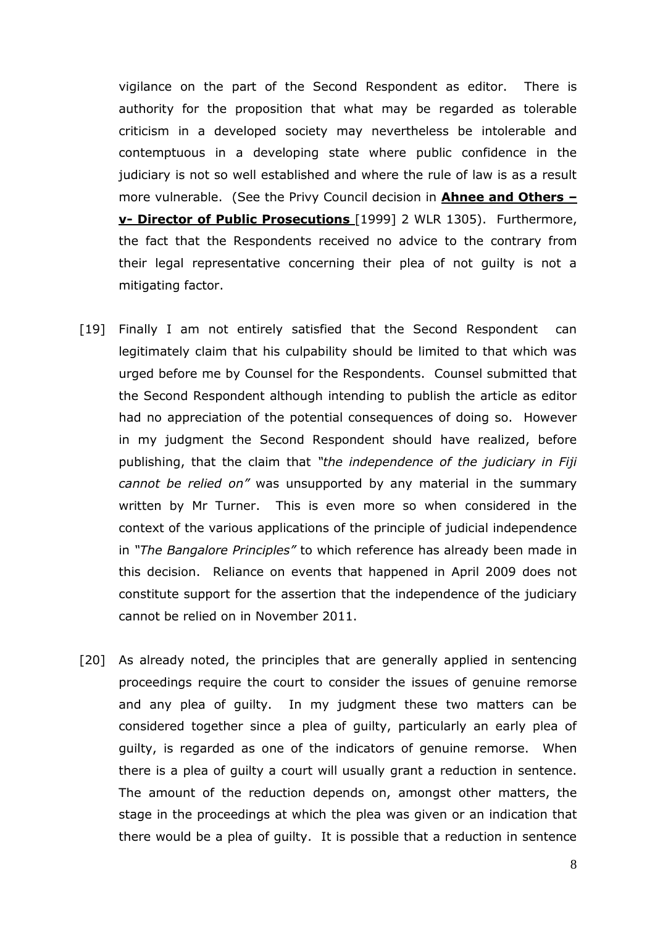vigilance on the part of the Second Respondent as editor. There is authority for the proposition that what may be regarded as tolerable criticism in a developed society may nevertheless be intolerable and contemptuous in a developing state where public confidence in the judiciary is not so well established and where the rule of law is as a result more vulnerable. (See the Privy Council decision in **Ahnee and Others – v- Director of Public Prosecutions** [1999] 2 WLR 1305). Furthermore, the fact that the Respondents received no advice to the contrary from their legal representative concerning their plea of not guilty is not a mitigating factor.

- [19] Finally I am not entirely satisfied that the Second Respondent can legitimately claim that his culpability should be limited to that which was urged before me by Counsel for the Respondents. Counsel submitted that the Second Respondent although intending to publish the article as editor had no appreciation of the potential consequences of doing so. However in my judgment the Second Respondent should have realized, before publishing, that the claim that *"the independence of the judiciary in Fiji cannot be relied on"* was unsupported by any material in the summary written by Mr Turner. This is even more so when considered in the context of the various applications of the principle of judicial independence in *"The Bangalore Principles"* to which reference has already been made in this decision. Reliance on events that happened in April 2009 does not constitute support for the assertion that the independence of the judiciary cannot be relied on in November 2011.
- [20] As already noted, the principles that are generally applied in sentencing proceedings require the court to consider the issues of genuine remorse and any plea of guilty. In my judgment these two matters can be considered together since a plea of guilty, particularly an early plea of guilty, is regarded as one of the indicators of genuine remorse. When there is a plea of guilty a court will usually grant a reduction in sentence. The amount of the reduction depends on, amongst other matters, the stage in the proceedings at which the plea was given or an indication that there would be a plea of guilty. It is possible that a reduction in sentence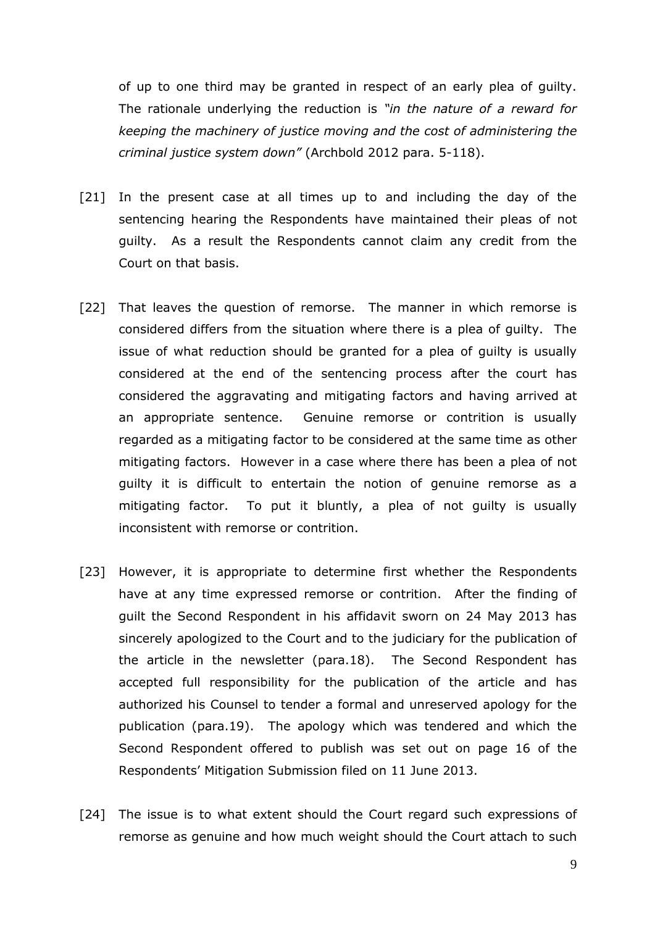of up to one third may be granted in respect of an early plea of guilty. The rationale underlying the reduction is *"in the nature of a reward for keeping the machinery of justice moving and the cost of administering the criminal justice system down"* (Archbold 2012 para. 5-118).

- [21] In the present case at all times up to and including the day of the sentencing hearing the Respondents have maintained their pleas of not guilty. As a result the Respondents cannot claim any credit from the Court on that basis.
- [22] That leaves the question of remorse. The manner in which remorse is considered differs from the situation where there is a plea of guilty. The issue of what reduction should be granted for a plea of guilty is usually considered at the end of the sentencing process after the court has considered the aggravating and mitigating factors and having arrived at an appropriate sentence. Genuine remorse or contrition is usually regarded as a mitigating factor to be considered at the same time as other mitigating factors. However in a case where there has been a plea of not guilty it is difficult to entertain the notion of genuine remorse as a mitigating factor. To put it bluntly, a plea of not guilty is usually inconsistent with remorse or contrition.
- [23] However, it is appropriate to determine first whether the Respondents have at any time expressed remorse or contrition. After the finding of guilt the Second Respondent in his affidavit sworn on 24 May 2013 has sincerely apologized to the Court and to the judiciary for the publication of the article in the newsletter (para.18). The Second Respondent has accepted full responsibility for the publication of the article and has authorized his Counsel to tender a formal and unreserved apology for the publication (para.19). The apology which was tendered and which the Second Respondent offered to publish was set out on page 16 of the Respondents' Mitigation Submission filed on 11 June 2013.
- [24] The issue is to what extent should the Court regard such expressions of remorse as genuine and how much weight should the Court attach to such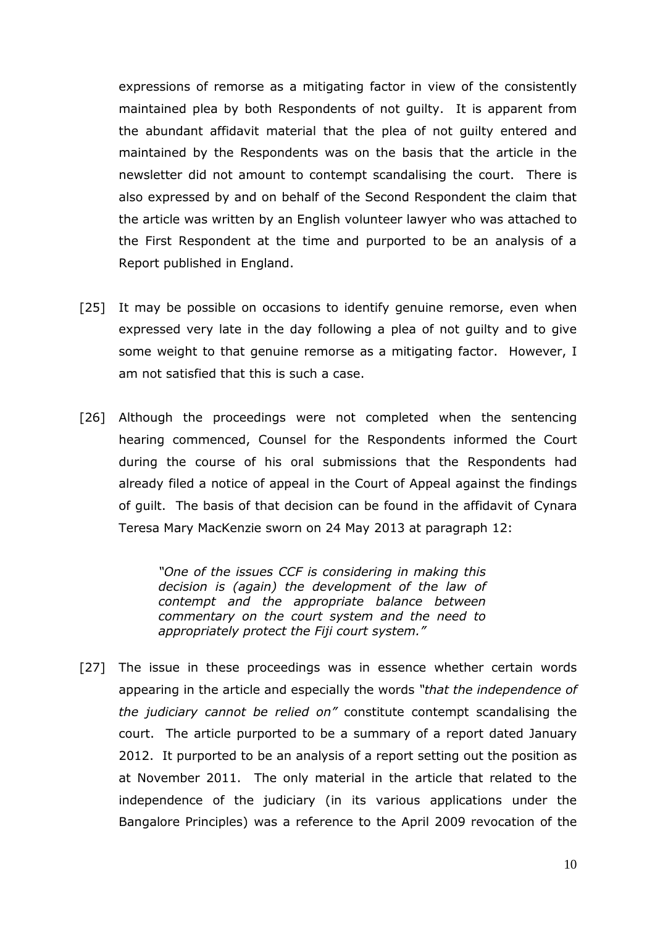expressions of remorse as a mitigating factor in view of the consistently maintained plea by both Respondents of not guilty. It is apparent from the abundant affidavit material that the plea of not guilty entered and maintained by the Respondents was on the basis that the article in the newsletter did not amount to contempt scandalising the court. There is also expressed by and on behalf of the Second Respondent the claim that the article was written by an English volunteer lawyer who was attached to the First Respondent at the time and purported to be an analysis of a Report published in England.

- [25] It may be possible on occasions to identify genuine remorse, even when expressed very late in the day following a plea of not guilty and to give some weight to that genuine remorse as a mitigating factor. However, I am not satisfied that this is such a case.
- [26] Although the proceedings were not completed when the sentencing hearing commenced, Counsel for the Respondents informed the Court during the course of his oral submissions that the Respondents had already filed a notice of appeal in the Court of Appeal against the findings of guilt. The basis of that decision can be found in the affidavit of Cynara Teresa Mary MacKenzie sworn on 24 May 2013 at paragraph 12:

*"One of the issues CCF is considering in making this decision is (again) the development of the law of contempt and the appropriate balance between commentary on the court system and the need to appropriately protect the Fiji court system."*

[27] The issue in these proceedings was in essence whether certain words appearing in the article and especially the words *"that the independence of the judiciary cannot be relied on"* constitute contempt scandalising the court. The article purported to be a summary of a report dated January 2012. It purported to be an analysis of a report setting out the position as at November 2011. The only material in the article that related to the independence of the judiciary (in its various applications under the Bangalore Principles) was a reference to the April 2009 revocation of the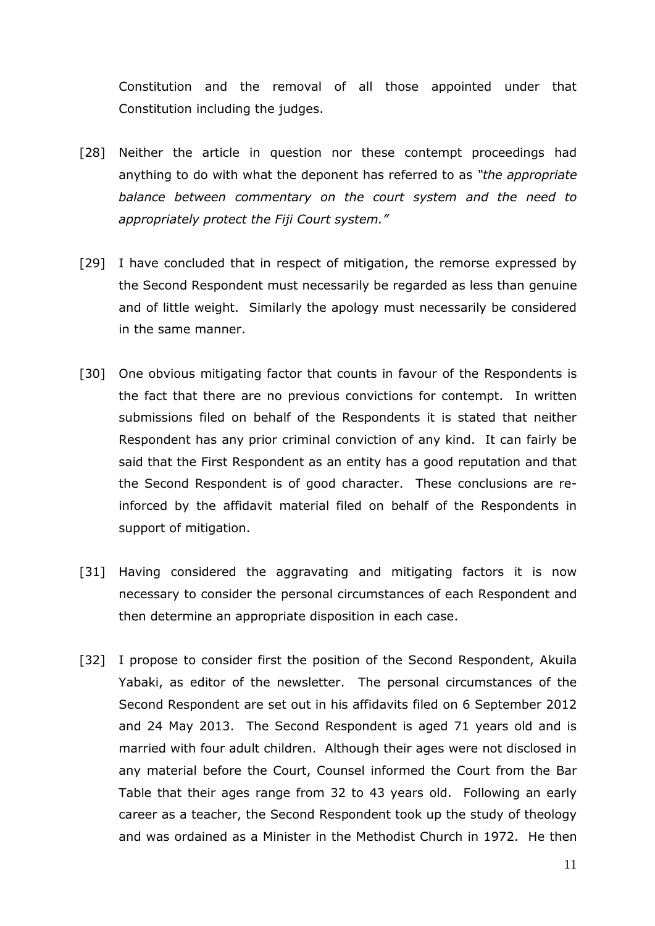Constitution and the removal of all those appointed under that Constitution including the judges.

- [28] Neither the article in question nor these contempt proceedings had anything to do with what the deponent has referred to as *"the appropriate balance between commentary on the court system and the need to appropriately protect the Fiji Court system."*
- [29] I have concluded that in respect of mitigation, the remorse expressed by the Second Respondent must necessarily be regarded as less than genuine and of little weight. Similarly the apology must necessarily be considered in the same manner.
- [30] One obvious mitigating factor that counts in favour of the Respondents is the fact that there are no previous convictions for contempt. In written submissions filed on behalf of the Respondents it is stated that neither Respondent has any prior criminal conviction of any kind. It can fairly be said that the First Respondent as an entity has a good reputation and that the Second Respondent is of good character. These conclusions are reinforced by the affidavit material filed on behalf of the Respondents in support of mitigation.
- [31] Having considered the aggravating and mitigating factors it is now necessary to consider the personal circumstances of each Respondent and then determine an appropriate disposition in each case.
- [32] I propose to consider first the position of the Second Respondent, Akuila Yabaki, as editor of the newsletter. The personal circumstances of the Second Respondent are set out in his affidavits filed on 6 September 2012 and 24 May 2013. The Second Respondent is aged 71 years old and is married with four adult children. Although their ages were not disclosed in any material before the Court, Counsel informed the Court from the Bar Table that their ages range from 32 to 43 years old. Following an early career as a teacher, the Second Respondent took up the study of theology and was ordained as a Minister in the Methodist Church in 1972. He then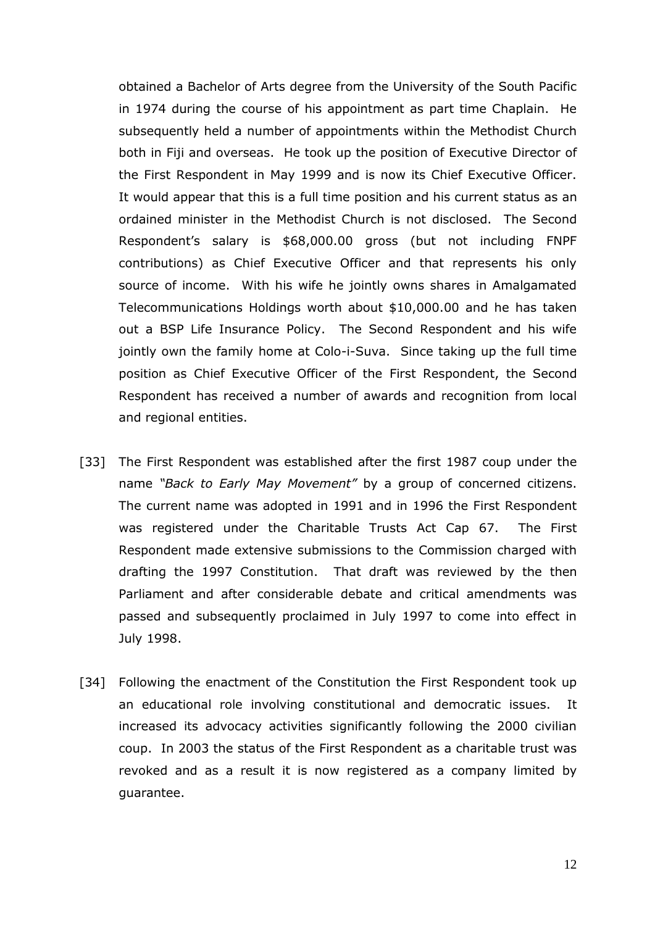obtained a Bachelor of Arts degree from the University of the South Pacific in 1974 during the course of his appointment as part time Chaplain. He subsequently held a number of appointments within the Methodist Church both in Fiji and overseas. He took up the position of Executive Director of the First Respondent in May 1999 and is now its Chief Executive Officer. It would appear that this is a full time position and his current status as an ordained minister in the Methodist Church is not disclosed. The Second Respondent's salary is \$68,000.00 gross (but not including FNPF contributions) as Chief Executive Officer and that represents his only source of income. With his wife he jointly owns shares in Amalgamated Telecommunications Holdings worth about \$10,000.00 and he has taken out a BSP Life Insurance Policy. The Second Respondent and his wife jointly own the family home at Colo-i-Suva. Since taking up the full time position as Chief Executive Officer of the First Respondent, the Second Respondent has received a number of awards and recognition from local and regional entities.

- [33] The First Respondent was established after the first 1987 coup under the name *"Back to Early May Movement"* by a group of concerned citizens. The current name was adopted in 1991 and in 1996 the First Respondent was registered under the Charitable Trusts Act Cap 67. The First Respondent made extensive submissions to the Commission charged with drafting the 1997 Constitution. That draft was reviewed by the then Parliament and after considerable debate and critical amendments was passed and subsequently proclaimed in July 1997 to come into effect in July 1998.
- [34] Following the enactment of the Constitution the First Respondent took up an educational role involving constitutional and democratic issues. It increased its advocacy activities significantly following the 2000 civilian coup. In 2003 the status of the First Respondent as a charitable trust was revoked and as a result it is now registered as a company limited by guarantee.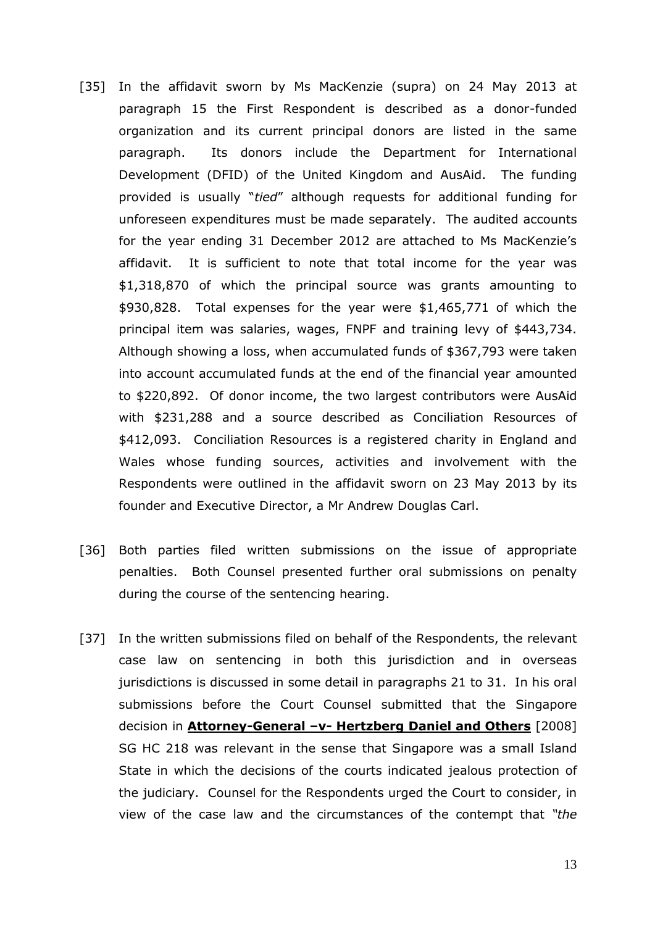- [35] In the affidavit sworn by Ms MacKenzie (supra) on 24 May 2013 at paragraph 15 the First Respondent is described as a donor-funded organization and its current principal donors are listed in the same paragraph. Its donors include the Department for International Development (DFID) of the United Kingdom and AusAid. The funding provided is usually "*tied*" although requests for additional funding for unforeseen expenditures must be made separately. The audited accounts for the year ending 31 December 2012 are attached to Ms MacKenzie's affidavit. It is sufficient to note that total income for the year was \$1,318,870 of which the principal source was grants amounting to \$930,828. Total expenses for the year were \$1,465,771 of which the principal item was salaries, wages, FNPF and training levy of \$443,734. Although showing a loss, when accumulated funds of \$367,793 were taken into account accumulated funds at the end of the financial year amounted to \$220,892. Of donor income, the two largest contributors were AusAid with \$231,288 and a source described as Conciliation Resources of \$412,093. Conciliation Resources is a registered charity in England and Wales whose funding sources, activities and involvement with the Respondents were outlined in the affidavit sworn on 23 May 2013 by its founder and Executive Director, a Mr Andrew Douglas Carl.
- [36] Both parties filed written submissions on the issue of appropriate penalties. Both Counsel presented further oral submissions on penalty during the course of the sentencing hearing.
- [37] In the written submissions filed on behalf of the Respondents, the relevant case law on sentencing in both this jurisdiction and in overseas jurisdictions is discussed in some detail in paragraphs 21 to 31. In his oral submissions before the Court Counsel submitted that the Singapore decision in **Attorney-General –v- Hertzberg Daniel and Others** [2008] SG HC 218 was relevant in the sense that Singapore was a small Island State in which the decisions of the courts indicated jealous protection of the judiciary. Counsel for the Respondents urged the Court to consider, in view of the case law and the circumstances of the contempt that *"the*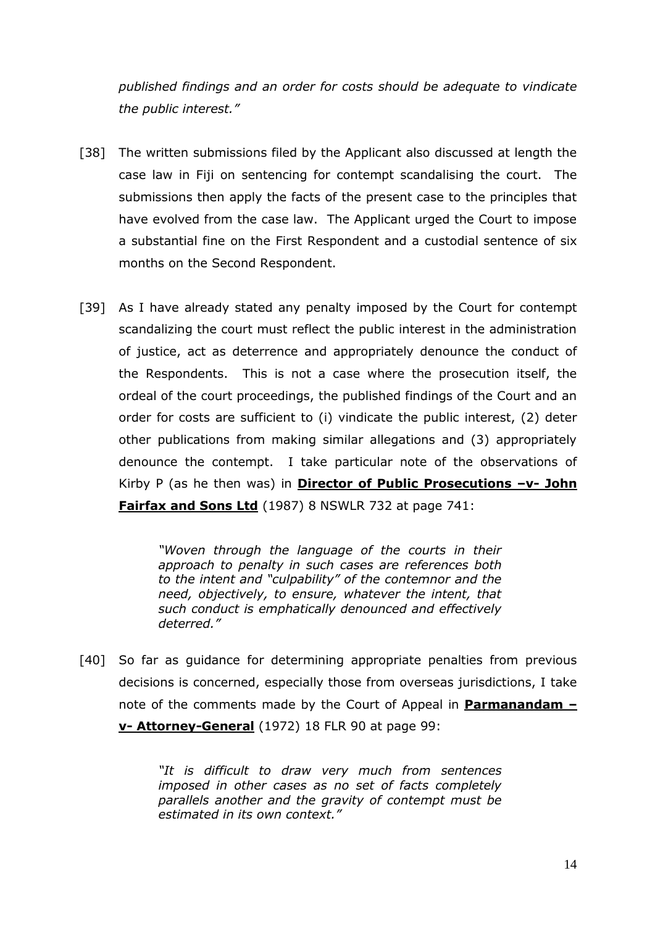*published findings and an order for costs should be adequate to vindicate the public interest."*

- [38] The written submissions filed by the Applicant also discussed at length the case law in Fiji on sentencing for contempt scandalising the court. The submissions then apply the facts of the present case to the principles that have evolved from the case law. The Applicant urged the Court to impose a substantial fine on the First Respondent and a custodial sentence of six months on the Second Respondent.
- [39] As I have already stated any penalty imposed by the Court for contempt scandalizing the court must reflect the public interest in the administration of justice, act as deterrence and appropriately denounce the conduct of the Respondents. This is not a case where the prosecution itself, the ordeal of the court proceedings, the published findings of the Court and an order for costs are sufficient to (i) vindicate the public interest, (2) deter other publications from making similar allegations and (3) appropriately denounce the contempt. I take particular note of the observations of Kirby P (as he then was) in **Director of Public Prosecutions –v- John Fairfax and Sons Ltd** (1987) 8 NSWLR 732 at page 741:

*"Woven through the language of the courts in their approach to penalty in such cases are references both to the intent and "culpability" of the contemnor and the need, objectively, to ensure, whatever the intent, that such conduct is emphatically denounced and effectively deterred."*

[40] So far as guidance for determining appropriate penalties from previous decisions is concerned, especially those from overseas jurisdictions, I take note of the comments made by the Court of Appeal in **Parmanandam – v- Attorney-General** (1972) 18 FLR 90 at page 99:

> *"It is difficult to draw very much from sentences imposed in other cases as no set of facts completely parallels another and the gravity of contempt must be estimated in its own context."*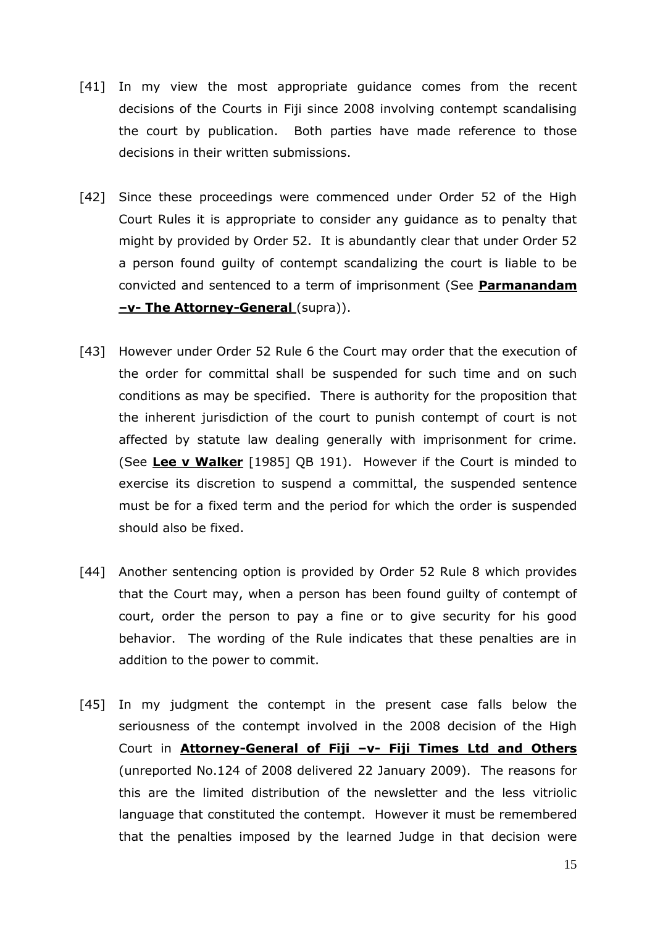- [41] In my view the most appropriate guidance comes from the recent decisions of the Courts in Fiji since 2008 involving contempt scandalising the court by publication. Both parties have made reference to those decisions in their written submissions.
- [42] Since these proceedings were commenced under Order 52 of the High Court Rules it is appropriate to consider any guidance as to penalty that might by provided by Order 52. It is abundantly clear that under Order 52 a person found guilty of contempt scandalizing the court is liable to be convicted and sentenced to a term of imprisonment (See **Parmanandam –v- The Attorney-General** (supra)).
- [43] However under Order 52 Rule 6 the Court may order that the execution of the order for committal shall be suspended for such time and on such conditions as may be specified. There is authority for the proposition that the inherent jurisdiction of the court to punish contempt of court is not affected by statute law dealing generally with imprisonment for crime. (See **Lee v Walker** [1985] QB 191). However if the Court is minded to exercise its discretion to suspend a committal, the suspended sentence must be for a fixed term and the period for which the order is suspended should also be fixed.
- [44] Another sentencing option is provided by Order 52 Rule 8 which provides that the Court may, when a person has been found guilty of contempt of court, order the person to pay a fine or to give security for his good behavior. The wording of the Rule indicates that these penalties are in addition to the power to commit.
- [45] In my judgment the contempt in the present case falls below the seriousness of the contempt involved in the 2008 decision of the High Court in **Attorney-General of Fiji –v- Fiji Times Ltd and Others** (unreported No.124 of 2008 delivered 22 January 2009). The reasons for this are the limited distribution of the newsletter and the less vitriolic language that constituted the contempt. However it must be remembered that the penalties imposed by the learned Judge in that decision were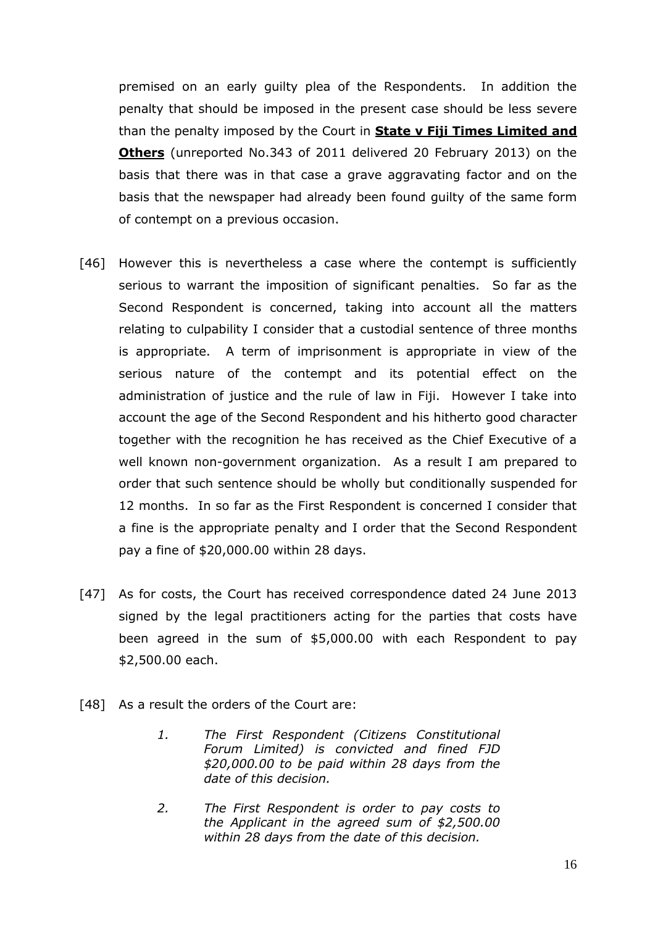premised on an early guilty plea of the Respondents. In addition the penalty that should be imposed in the present case should be less severe than the penalty imposed by the Court in **State v Fiji Times Limited and Others** (unreported No.343 of 2011 delivered 20 February 2013) on the basis that there was in that case a grave aggravating factor and on the basis that the newspaper had already been found guilty of the same form of contempt on a previous occasion.

- [46] However this is nevertheless a case where the contempt is sufficiently serious to warrant the imposition of significant penalties. So far as the Second Respondent is concerned, taking into account all the matters relating to culpability I consider that a custodial sentence of three months is appropriate. A term of imprisonment is appropriate in view of the serious nature of the contempt and its potential effect on the administration of justice and the rule of law in Fiji. However I take into account the age of the Second Respondent and his hitherto good character together with the recognition he has received as the Chief Executive of a well known non-government organization. As a result I am prepared to order that such sentence should be wholly but conditionally suspended for 12 months. In so far as the First Respondent is concerned I consider that a fine is the appropriate penalty and I order that the Second Respondent pay a fine of \$20,000.00 within 28 days.
- [47] As for costs, the Court has received correspondence dated 24 June 2013 signed by the legal practitioners acting for the parties that costs have been agreed in the sum of \$5,000.00 with each Respondent to pay \$2,500.00 each.
- [48] As a result the orders of the Court are:
	- *1. The First Respondent (Citizens Constitutional Forum Limited) is convicted and fined FJD \$20,000.00 to be paid within 28 days from the date of this decision.*
	- *2. The First Respondent is order to pay costs to the Applicant in the agreed sum of \$2,500.00 within 28 days from the date of this decision.*